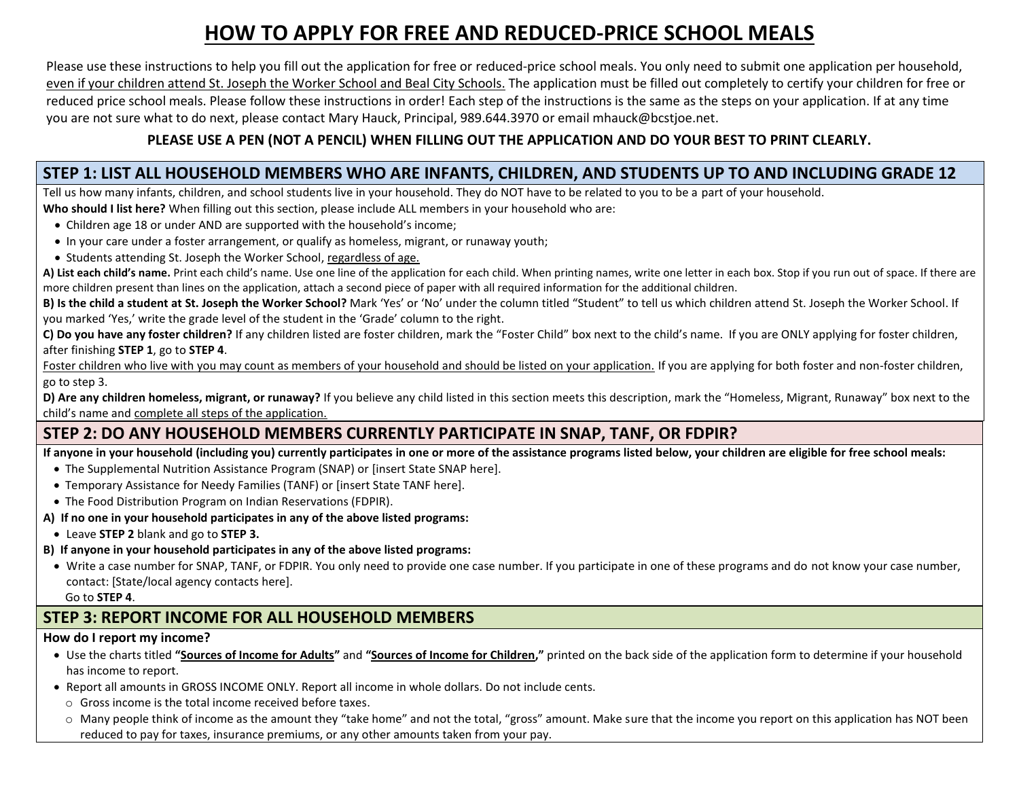# **HOW TO APPLY FOR FREE AND REDUCED-PRICE SCHOOL MEALS**

Please use these instructions to help you fill out the application for free or reduced-price school meals. You only need to submit one application per household, even if your children attend St. Joseph the Worker School and Beal City Schools. The application must be filled out completely to certify your children for free or reduced price school meals. Please follow these instructions in order! Each step of the instructions is the same as the steps on your application. If at any time you are not sure what to do next, please contact Mary Hauck, Principal, 989.644.3970 or email mhauck@bcstjoe.net.

### **PLEASE USE A PEN (NOT A PENCIL) WHEN FILLING OUT THE APPLICATION AND DO YOUR BEST TO PRINT CLEARLY.**

### **STEP 1: LIST ALL HOUSEHOLD MEMBERS WHO ARE INFANTS, CHILDREN, AND STUDENTS UP TO AND INCLUDING GRADE 12**

Tell us how many infants, children, and school students live in your household. They do NOT have to be related to you to be a part of your household. **Who should I list here?** When filling out this section, please include ALL members in your household who are:

- Children age 18 or under AND are supported with the household's income;
- In your care under a foster arrangement, or qualify as homeless, migrant, or runaway youth;
- Students attending St. Joseph the Worker School, regardless of age.

**A) List each child's name.** Print each child's name. Use one line of the application for each child. When printing names, write one letter in each box. Stop if you run out of space. If there are more children present than lines on the application, attach a second piece of paper with all required information for the additional children.

**B) Is the child a student at St. Joseph the Worker School?** Mark 'Yes' or 'No' under the column titled "Student" to tell us which children attend St. Joseph the Worker School. If you marked 'Yes,' write the grade level of the student in the 'Grade' column to the right.

**C) Do you have any foster children?** If any children listed are foster children, mark the "Foster Child" box next to the child's name. If you are ONLY applying for foster children, after finishing **STEP 1**, go to **STEP 4**.

Foster children who live with you may count as members of your household and should be listed on your application. If you are applying for both foster and non-foster children, go to step 3.

**D) Are any children homeless, migrant, or runaway?** If you believe any child listed in this section meets this description, mark the "Homeless, Migrant, Runaway" box next to the child's name and complete all steps of the application.

### **STEP 2: DO ANY HOUSEHOLD MEMBERS CURRENTLY PARTICIPATE IN SNAP, TANF, OR FDPIR?**

**If anyone in your household (including you) currently participates in one or more of the assistance programs listed below, your children are eligible for free school meals:**

- The Supplemental Nutrition Assistance Program (SNAP) or [insert State SNAP here].
- Temporary Assistance for Needy Families (TANF) or [insert State TANF here].
- The Food Distribution Program on Indian Reservations (FDPIR).

#### **A) If no one in your household participates in any of the above listed programs:**

- Leave **STEP 2** blank and go to **STEP 3.**
- **B) If anyone in your household participates in any of the above listed programs:**
- Write a case number for SNAP, TANF, or FDPIR. You only need to provide one case number. If you participate in one of these programs and do not know your case number, contact: [State/local agency contacts here].

Go to **STEP 4**.

### **STEP 3: REPORT INCOME FOR ALL HOUSEHOLD MEMBERS**

#### **How do I report my income?**

- Use the charts titled **"Sources of Income for Adults"** and **"Sources of Income for Children,"** printed on the back side of the application form to determine if your household has income to report.
- Report all amounts in GROSS INCOME ONLY. Report all income in whole dollars. Do not include cents.
	- o Gross income is the total income received before taxes.
	- o Many people think of income as the amount they "take home" and not the total, "gross" amount. Make sure that the income you report on this application has NOT been reduced to pay for taxes, insurance premiums, or any other amounts taken from your pay.